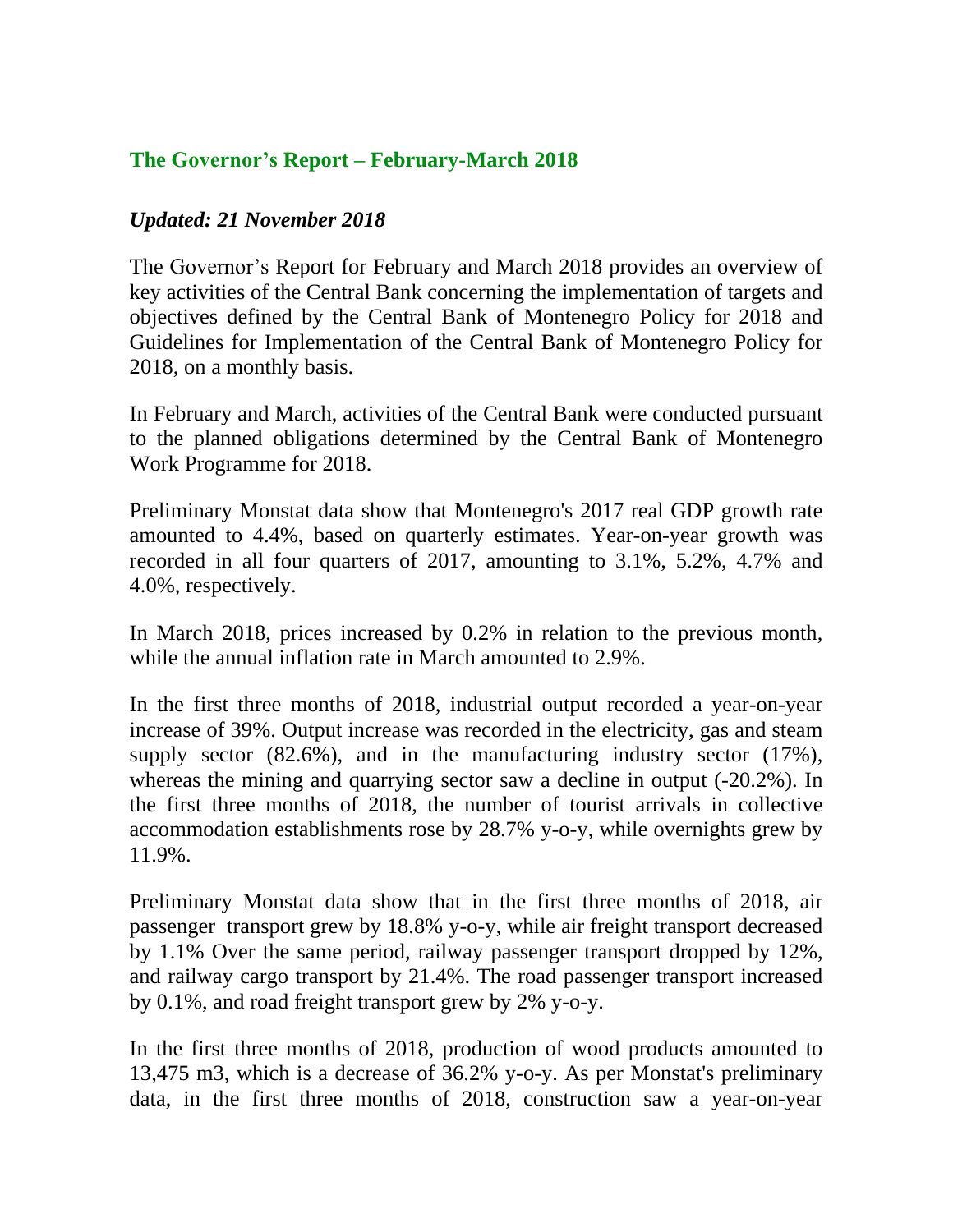## **The Governor's Report – February-March 2018**

## *Updated: 21 November 2018*

The Governor's Report for February and March 2018 provides an overview of key activities of the Central Bank concerning the implementation of targets and objectives defined by the Central Bank of Montenegro Policy for 2018 and Guidelines for Implementation of the Central Bank of Montenegro Policy for 2018, on a monthly basis.

In February and March, activities of the Central Bank were conducted pursuant to the planned obligations determined by the Central Bank of Montenegro Work Programme for 2018.

Preliminary Monstat data show that Montenegro's 2017 real GDP growth rate amounted to 4.4%, based on quarterly estimates. Year-on-year growth was recorded in all four quarters of 2017, amounting to 3.1%, 5.2%, 4.7% and 4.0%, respectively.

In March 2018, prices increased by 0.2% in relation to the previous month, while the annual inflation rate in March amounted to 2.9%.

In the first three months of 2018, industrial output recorded a year-on-year increase of 39%. Output increase was recorded in the electricity, gas and steam supply sector (82.6%), and in the manufacturing industry sector (17%), whereas the mining and quarrying sector saw a decline in output  $(-20.2\%)$ . In the first three months of 2018, the number of tourist arrivals in collective accommodation establishments rose by 28.7% y-o-y, while overnights grew by 11.9%.

Preliminary Monstat data show that in the first three months of 2018, air passenger transport grew by 18.8% y-o-y, while air freight transport decreased by 1.1% Over the same period, railway passenger transport dropped by 12%, and railway cargo transport by 21.4%. The road passenger transport increased by 0.1%, and road freight transport grew by 2% y-o-y.

In the first three months of 2018, production of wood products amounted to 13,475 m3, which is a decrease of 36.2% y-o-y. As per Monstat's preliminary data, in the first three months of 2018, construction saw a year-on-year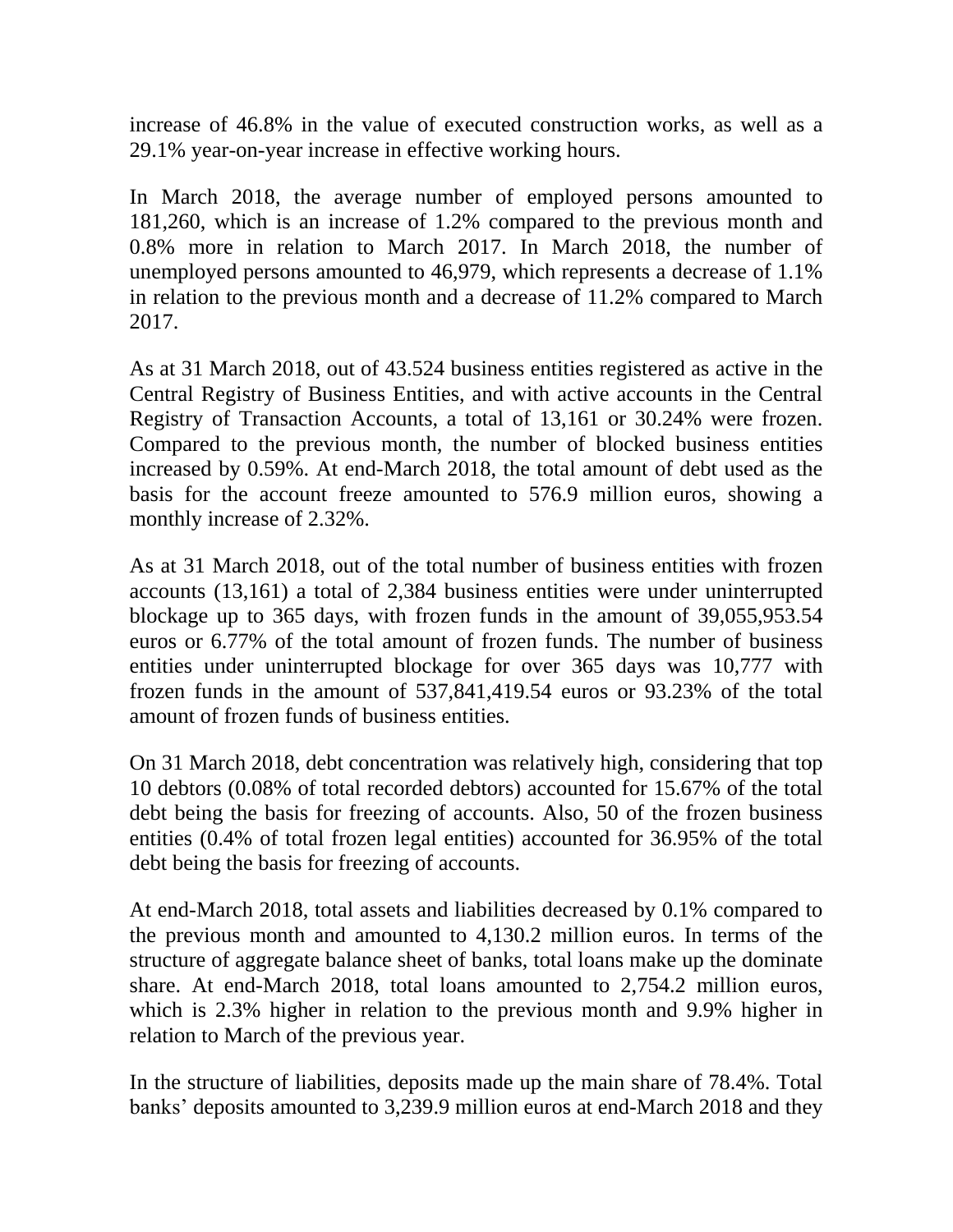increase of 46.8% in the value of executed construction works, as well as a 29.1% year-on-year increase in effective working hours.

In March 2018, the average number of employed persons amounted to 181,260, which is an increase of 1.2% compared to the previous month and 0.8% more in relation to March 2017. In March 2018, the number of unemployed persons amounted to 46,979, which represents a decrease of 1.1% in relation to the previous month and a decrease of 11.2% compared to March 2017.

As at 31 March 2018, out of 43.524 business entities registered as active in the Central Registry of Business Entities, and with active accounts in the Central Registry of Transaction Accounts, a total of 13,161 or 30.24% were frozen. Compared to the previous month, the number of blocked business entities increased by 0.59%. At end-March 2018, the total amount of debt used as the basis for the account freeze amounted to 576.9 million euros, showing a monthly increase of 2.32%.

As at 31 March 2018, out of the total number of business entities with frozen accounts (13,161) a total of 2,384 business entities were under uninterrupted blockage up to 365 days, with frozen funds in the amount of 39,055,953.54 euros or 6.77% of the total amount of frozen funds. The number of business entities under uninterrupted blockage for over 365 days was 10,777 with frozen funds in the amount of 537,841,419.54 euros or 93.23% of the total amount of frozen funds of business entities.

On 31 March 2018, debt concentration was relatively high, considering that top 10 debtors (0.08% of total recorded debtors) accounted for 15.67% of the total debt being the basis for freezing of accounts. Also, 50 of the frozen business entities (0.4% of total frozen legal entities) accounted for 36.95% of the total debt being the basis for freezing of accounts.

At end-March 2018, total assets and liabilities decreased by 0.1% compared to the previous month and amounted to 4,130.2 million euros. In terms of the structure of aggregate balance sheet of banks, total loans make up the dominate share. At end-March 2018, total loans amounted to 2,754.2 million euros, which is 2.3% higher in relation to the previous month and 9.9% higher in relation to March of the previous year.

In the structure of liabilities, deposits made up the main share of 78.4%. Total banks' deposits amounted to 3,239.9 million euros at end-March 2018 and they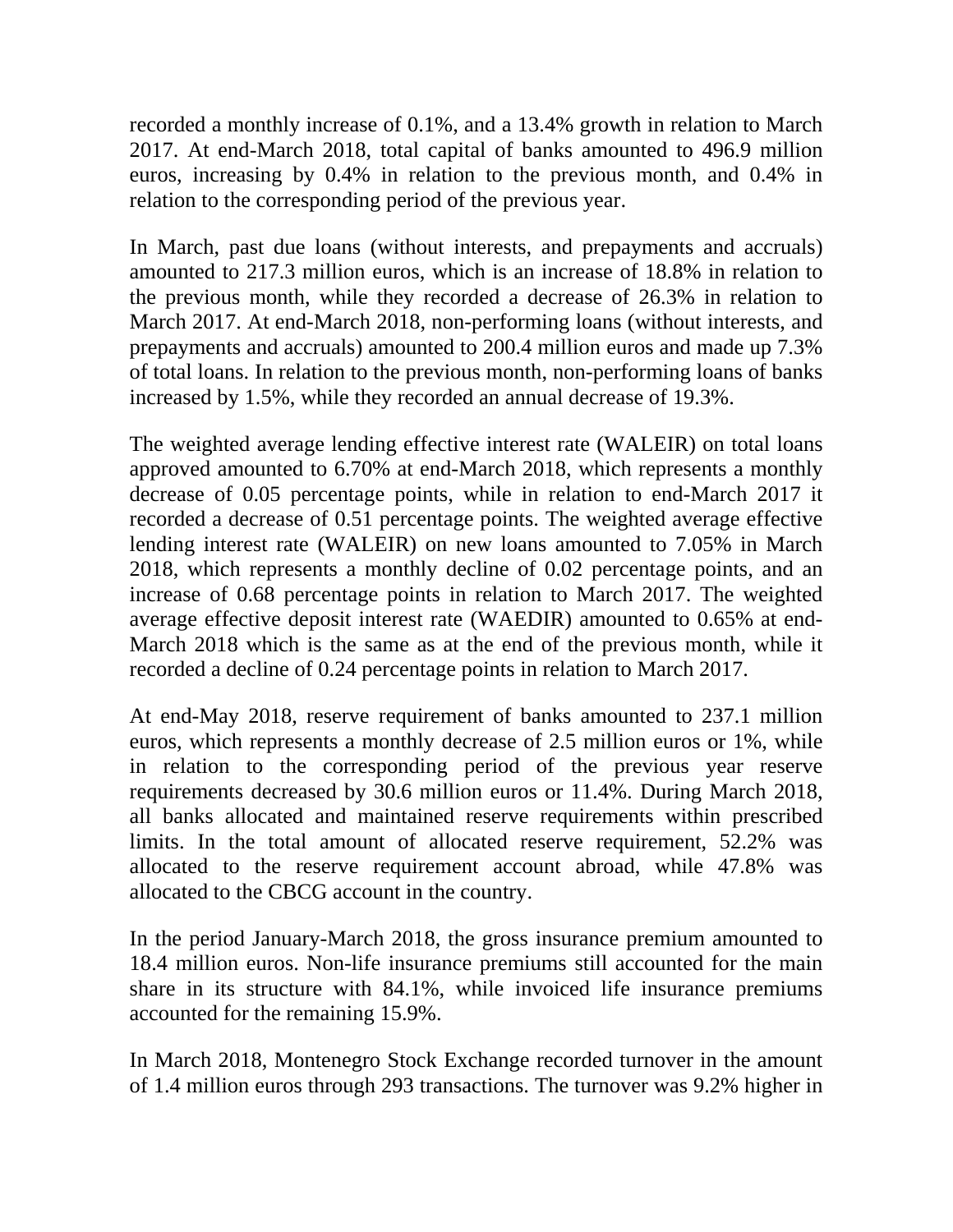recorded a monthly increase of 0.1%, and a 13.4% growth in relation to March 2017. At end-March 2018, total capital of banks amounted to 496.9 million euros, increasing by 0.4% in relation to the previous month, and 0.4% in relation to the corresponding period of the previous year.

In March, past due loans (without interests, and prepayments and accruals) amounted to 217.3 million euros, which is an increase of 18.8% in relation to the previous month, while they recorded a decrease of 26.3% in relation to March 2017. At end-March 2018, non-performing loans (without interests, and prepayments and accruals) amounted to 200.4 million euros and made up 7.3% of total loans. In relation to the previous month, non-performing loans of banks increased by 1.5%, while they recorded an annual decrease of 19.3%.

The weighted average lending effective interest rate (WALEIR) on total loans approved amounted to 6.70% at end-March 2018, which represents a monthly decrease of 0.05 percentage points, while in relation to end-March 2017 it recorded a decrease of 0.51 percentage points. The weighted average effective lending interest rate (WALEIR) on new loans amounted to 7.05% in March 2018, which represents a monthly decline of 0.02 percentage points, and an increase of 0.68 percentage points in relation to March 2017. The weighted average effective deposit interest rate (WAEDIR) amounted to 0.65% at end-March 2018 which is the same as at the end of the previous month, while it recorded a decline of 0.24 percentage points in relation to March 2017.

At end-May 2018, reserve requirement of banks amounted to 237.1 million euros, which represents a monthly decrease of 2.5 million euros or 1%, while in relation to the corresponding period of the previous year reserve requirements decreased by 30.6 million euros or 11.4%. During March 2018, all banks allocated and maintained reserve requirements within prescribed limits. In the total amount of allocated reserve requirement, 52.2% was allocated to the reserve requirement account abroad, while 47.8% was allocated to the CBCG account in the country.

In the period January-March 2018, the gross insurance premium amounted to 18.4 million euros. Non-life insurance premiums still accounted for the main share in its structure with 84.1%, while invoiced life insurance premiums accounted for the remaining 15.9%.

In March 2018, Montenegro Stock Exchange recorded turnover in the amount of 1.4 million euros through 293 transactions. The turnover was 9.2% higher in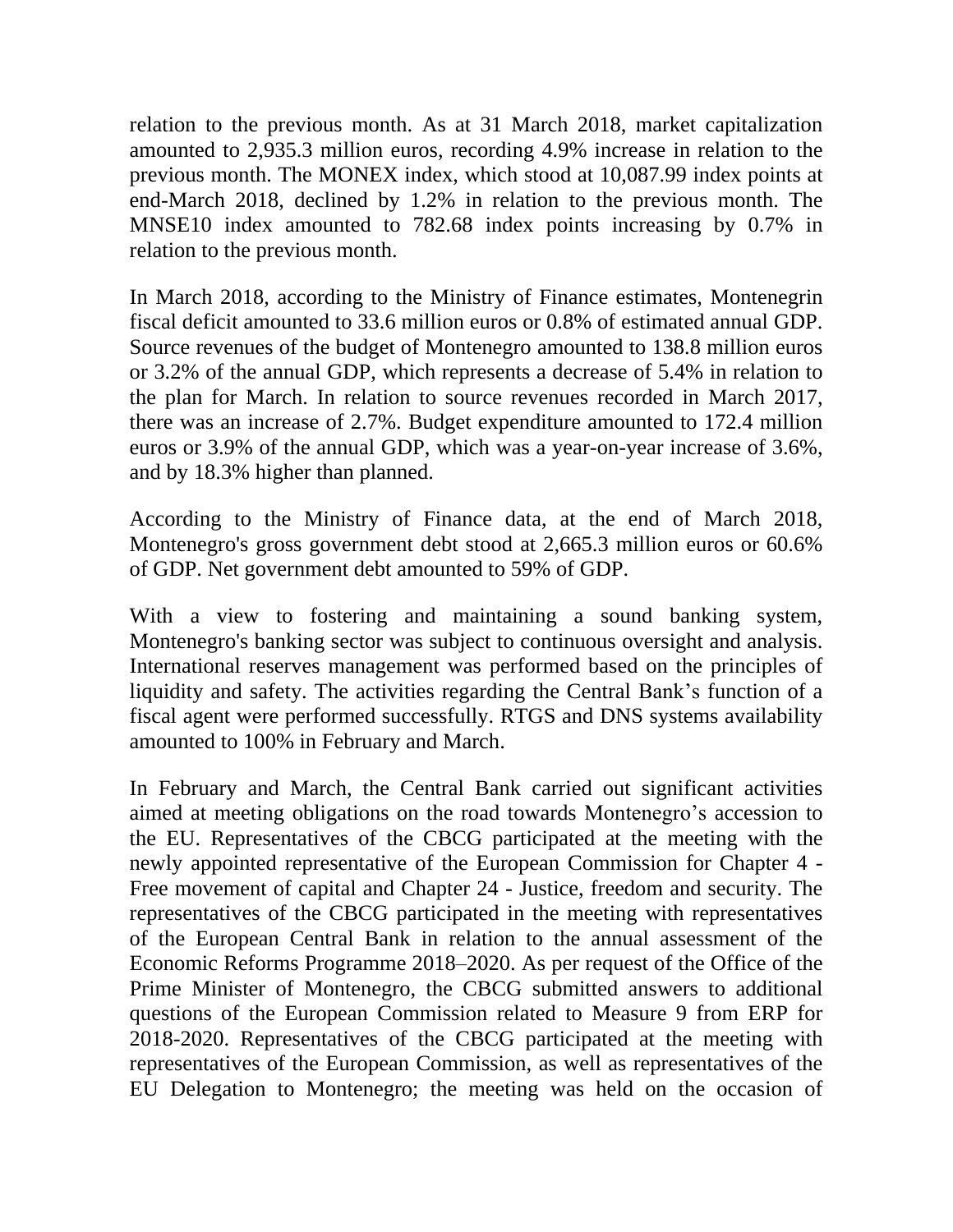relation to the previous month. As at 31 March 2018, market capitalization amounted to 2,935.3 million euros, recording 4.9% increase in relation to the previous month. The MONEX index, which stood at 10,087.99 index points at end-March 2018, declined by 1.2% in relation to the previous month. The MNSE10 index amounted to 782.68 index points increasing by 0.7% in relation to the previous month.

In March 2018, according to the Ministry of Finance estimates, Montenegrin fiscal deficit amounted to 33.6 million euros or 0.8% of estimated annual GDP. Source revenues of the budget of Montenegro amounted to 138.8 million euros or 3.2% of the annual GDP, which represents a decrease of 5.4% in relation to the plan for March. In relation to source revenues recorded in March 2017, there was an increase of 2.7%. Budget expenditure amounted to 172.4 million euros or 3.9% of the annual GDP, which was a year-on-year increase of 3.6%, and by 18.3% higher than planned.

According to the Ministry of Finance data, at the end of March 2018, Montenegro's gross government debt stood at 2,665.3 million euros or 60.6% of GDP. Net government debt amounted to 59% of GDP.

With a view to fostering and maintaining a sound banking system, Montenegro's banking sector was subject to continuous oversight and analysis. International reserves management was performed based on the principles of liquidity and safety. The activities regarding the Central Bank's function of a fiscal agent were performed successfully. RTGS and DNS systems availability amounted to 100% in February and March.

In February and March, the Central Bank carried out significant activities aimed at meeting obligations on the road towards Montenegro's accession to the EU. Representatives of the CBCG participated at the meeting with the newly appointed representative of the European Commission for Chapter 4 *-* Free movement of capital and Chapter 24 *-* Justice, freedom and security. The representatives of the CBCG participated in the meeting with representatives of the European Central Bank in relation to the annual assessment of the Economic Reforms Programme 2018–2020. As per request of the Office of the Prime Minister of Montenegro, the CBCG submitted answers to additional questions of the European Commission related to Measure 9 from ERP for 2018-2020. Representatives of the CBCG participated at the meeting with representatives of the European Commission, as well as representatives of the EU Delegation to Montenegro; the meeting was held on the occasion of